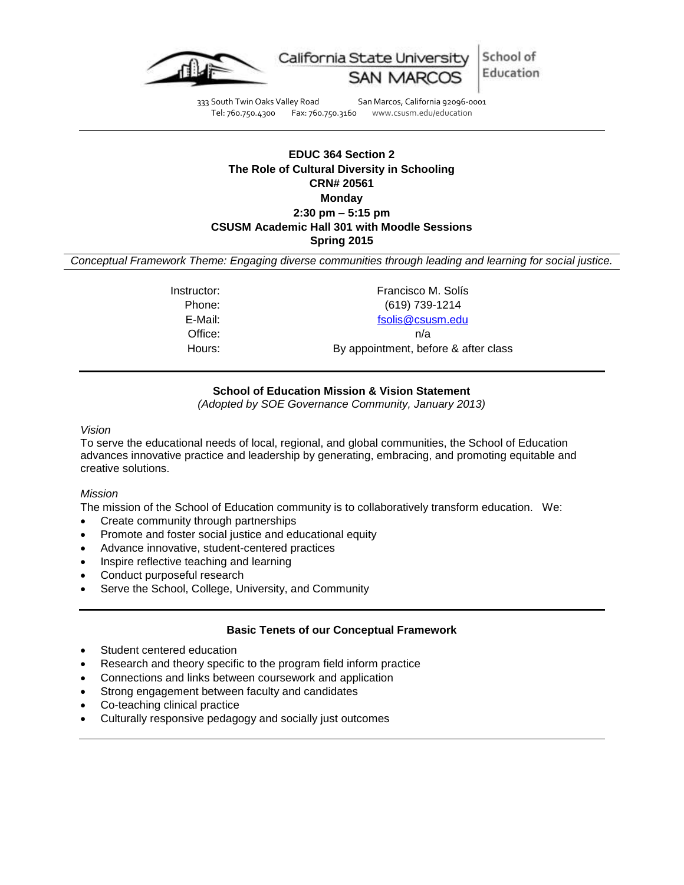

333 South Twin Oaks Valley Road San Marcos, California 92096-0001<br>Tel: 760.750.4300 Fax: 760.750.3160 www.csusm.edu/education www.csusm.edu/education

# **EDUC 364 Section 2 The Role of Cultural Diversity in Schooling CRN# 20561 Monday 2:30 pm – 5:15 pm CSUSM Academic Hall 301 with Moodle Sessions Spring 2015**

*Conceptual Framework Theme: Engaging diverse communities through leading and learning for social justice.*

Instructor: The Contract of the Exercisco M. Solís Phone: (619) 739-1214 E-Mail: [fsolis@csusm.edu](mailto:fsolis@csusm.edu) Office: n/a Hours: By appointment, before & after class

### **School of Education Mission & Vision Statement**

*(Adopted by SOE Governance Community, January 2013)*

*Vision*

To serve the educational needs of local, regional, and global communities, the School of Education advances innovative practice and leadership by generating, embracing, and promoting equitable and creative solutions.

#### *Mission*

The mission of the School of Education community is to collaboratively transform education. We:

- Create community through partnerships
- Promote and foster social justice and educational equity
- Advance innovative, student-centered practices
- Inspire reflective teaching and learning
- Conduct purposeful research
- Serve the School, College, University, and Community

#### **Basic Tenets of our Conceptual Framework**

- Student centered education
- Research and theory specific to the program field inform practice
- Connections and links between coursework and application
- Strong engagement between faculty and candidates
- Co-teaching clinical practice
- Culturally responsive pedagogy and socially just outcomes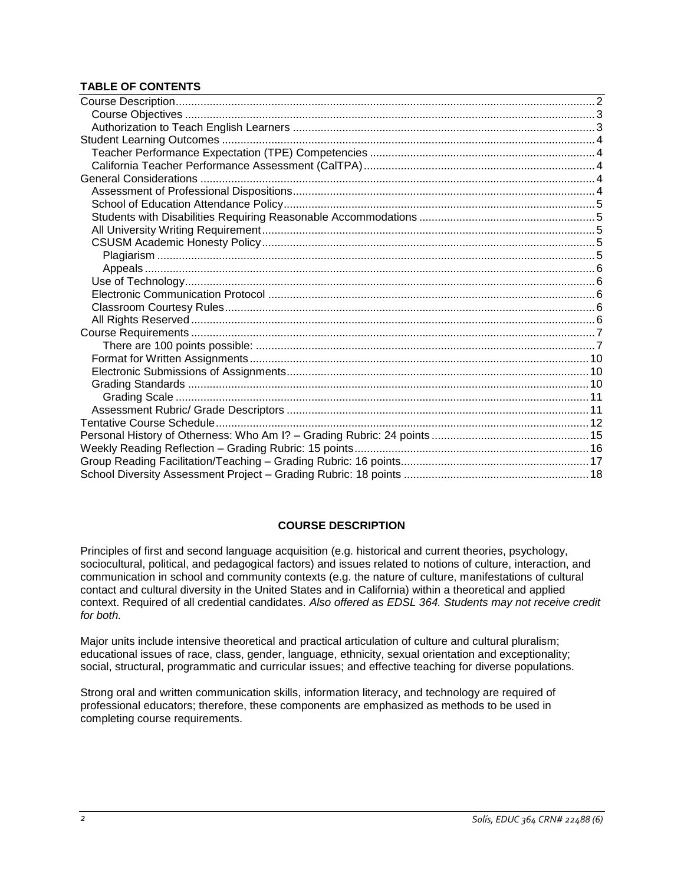# **TABLE OF CONTENTS**

#### **COURSE DESCRIPTION**

<span id="page-1-0"></span>Principles of first and second language acquisition (e.g. historical and current theories, psychology, sociocultural, political, and pedagogical factors) and issues related to notions of culture, interaction, and communication in school and community contexts (e.g. the nature of culture, manifestations of cultural contact and cultural diversity in the United States and in California) within a theoretical and applied context. Required of all credential candidates. *Also offered as EDSL 364. Students may not receive credit for both.*

Major units include intensive theoretical and practical articulation of culture and cultural pluralism; educational issues of race, class, gender, language, ethnicity, sexual orientation and exceptionality; social, structural, programmatic and curricular issues; and effective teaching for diverse populations.

<span id="page-1-1"></span>Strong oral and written communication skills, information literacy, and technology are required of professional educators; therefore, these components are emphasized as methods to be used in completing course requirements.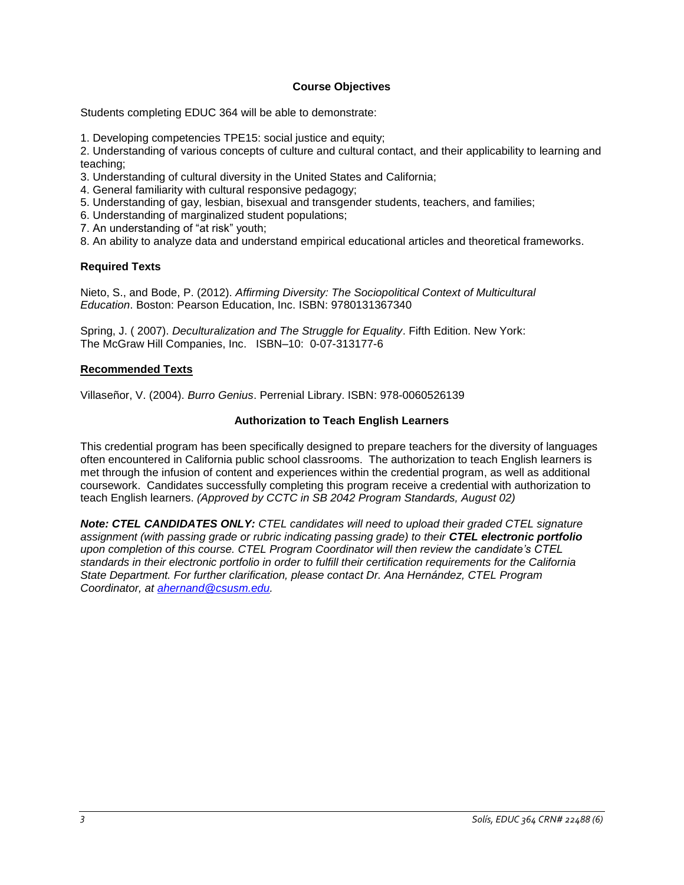## **Course Objectives**

Students completing EDUC 364 will be able to demonstrate:

1. Developing competencies TPE15: social justice and equity;

2. Understanding of various concepts of culture and cultural contact, and their applicability to learning and teaching;

- 3. Understanding of cultural diversity in the United States and California;
- 4. General familiarity with cultural responsive pedagogy;
- 5. Understanding of gay, lesbian, bisexual and transgender students, teachers, and families;
- 6. Understanding of marginalized student populations;
- 7. An understanding of "at risk" youth;
- 8. An ability to analyze data and understand empirical educational articles and theoretical frameworks.

## **Required Texts**

Nieto, S., and Bode, P. (2012). *Affirming Diversity: The Sociopolitical Context of Multicultural Education*. Boston: Pearson Education, Inc. ISBN: 9780131367340

Spring, J. ( 2007). *Deculturalization and The Struggle for Equality*. Fifth Edition. New York: The McGraw Hill Companies, Inc. ISBN–10: 0-07-313177-6

#### **Recommended Texts**

<span id="page-2-0"></span>Villaseñor, V. (2004). *Burro Genius*. Perrenial Library. ISBN: 978-0060526139

# **Authorization to Teach English Learners**

This credential program has been specifically designed to prepare teachers for the diversity of languages often encountered in California public school classrooms. The authorization to teach English learners is met through the infusion of content and experiences within the credential program, as well as additional coursework. Candidates successfully completing this program receive a credential with authorization to teach English learners. *(Approved by CCTC in SB 2042 Program Standards, August 02)*

<span id="page-2-1"></span>*Note: CTEL CANDIDATES ONLY: CTEL candidates will need to upload their graded CTEL signature assignment (with passing grade or rubric indicating passing grade) to their CTEL electronic portfolio upon completion of this course. CTEL Program Coordinator will then review the candidate's CTEL standards in their electronic portfolio in order to fulfill their certification requirements for the California State Department. For further clarification, please contact Dr. Ana Hernández, CTEL Program Coordinator, at [ahernand@csusm.edu.](mailto:ahernand@csusm.edu)*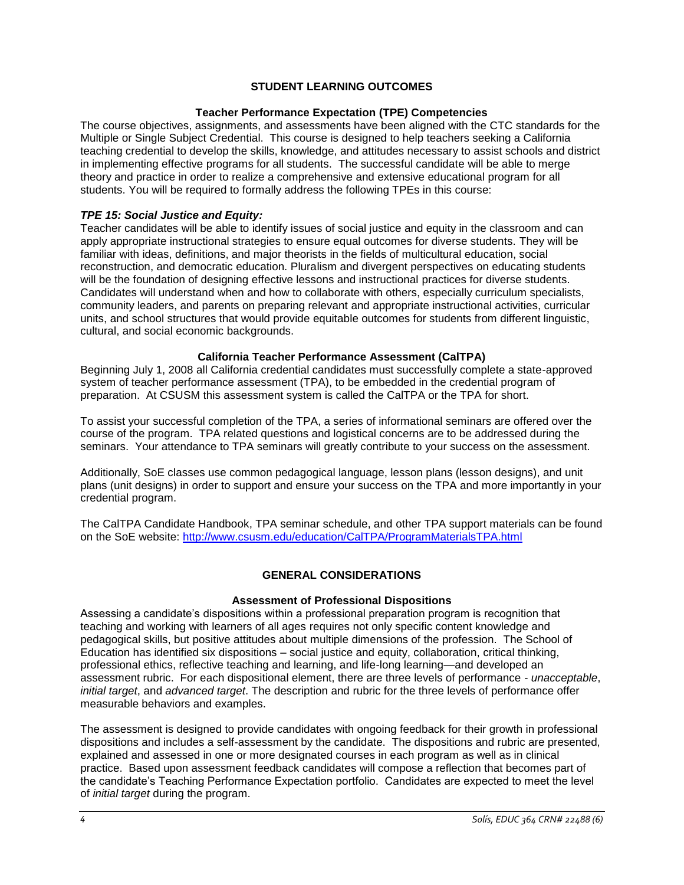# **STUDENT LEARNING OUTCOMES**

## **Teacher Performance Expectation (TPE) Competencies**

<span id="page-3-0"></span>The course objectives, assignments, and assessments have been aligned with the CTC standards for the Multiple or Single Subject Credential. This course is designed to help teachers seeking a California teaching credential to develop the skills, knowledge, and attitudes necessary to assist schools and district in implementing effective programs for all students. The successful candidate will be able to merge theory and practice in order to realize a comprehensive and extensive educational program for all students. You will be required to formally address the following TPEs in this course:

## *TPE 15: Social Justice and Equity:*

Teacher candidates will be able to identify issues of social justice and equity in the classroom and can apply appropriate instructional strategies to ensure equal outcomes for diverse students. They will be familiar with ideas, definitions, and major theorists in the fields of multicultural education, social reconstruction, and democratic education. Pluralism and divergent perspectives on educating students will be the foundation of designing effective lessons and instructional practices for diverse students. Candidates will understand when and how to collaborate with others, especially curriculum specialists, community leaders, and parents on preparing relevant and appropriate instructional activities, curricular units, and school structures that would provide equitable outcomes for students from different linguistic, cultural, and social economic backgrounds.

## **California Teacher Performance Assessment (CalTPA)**

<span id="page-3-1"></span>Beginning July 1, 2008 all California credential candidates must successfully complete a state-approved system of teacher performance assessment (TPA), to be embedded in the credential program of preparation. At CSUSM this assessment system is called the CalTPA or the TPA for short.

To assist your successful completion of the TPA, a series of informational seminars are offered over the course of the program. TPA related questions and logistical concerns are to be addressed during the seminars. Your attendance to TPA seminars will greatly contribute to your success on the assessment.

Additionally, SoE classes use common pedagogical language, lesson plans (lesson designs), and unit plans (unit designs) in order to support and ensure your success on the TPA and more importantly in your credential program.

The CalTPA Candidate Handbook, TPA seminar schedule, and other TPA support materials can be found on the SoE website:<http://www.csusm.edu/education/CalTPA/ProgramMaterialsTPA.html>

# **GENERAL CONSIDERATIONS**

#### **Assessment of Professional Dispositions**

<span id="page-3-3"></span><span id="page-3-2"></span>Assessing a candidate's dispositions within a professional preparation program is recognition that teaching and working with learners of all ages requires not only specific content knowledge and pedagogical skills, but positive attitudes about multiple dimensions of the profession. The School of Education has identified six dispositions – social justice and equity, collaboration, critical thinking, professional ethics, reflective teaching and learning, and life-long learning—and developed an assessment rubric. For each dispositional element, there are three levels of performance - *unacceptable*, *initial target*, and *advanced target*. The description and rubric for the three levels of performance offer measurable behaviors and examples.

The assessment is designed to provide candidates with ongoing feedback for their growth in professional dispositions and includes a self-assessment by the candidate. The dispositions and rubric are presented, explained and assessed in one or more designated courses in each program as well as in clinical practice. Based upon assessment feedback candidates will compose a reflection that becomes part of the candidate's Teaching Performance Expectation portfolio. Candidates are expected to meet the level of *initial target* during the program.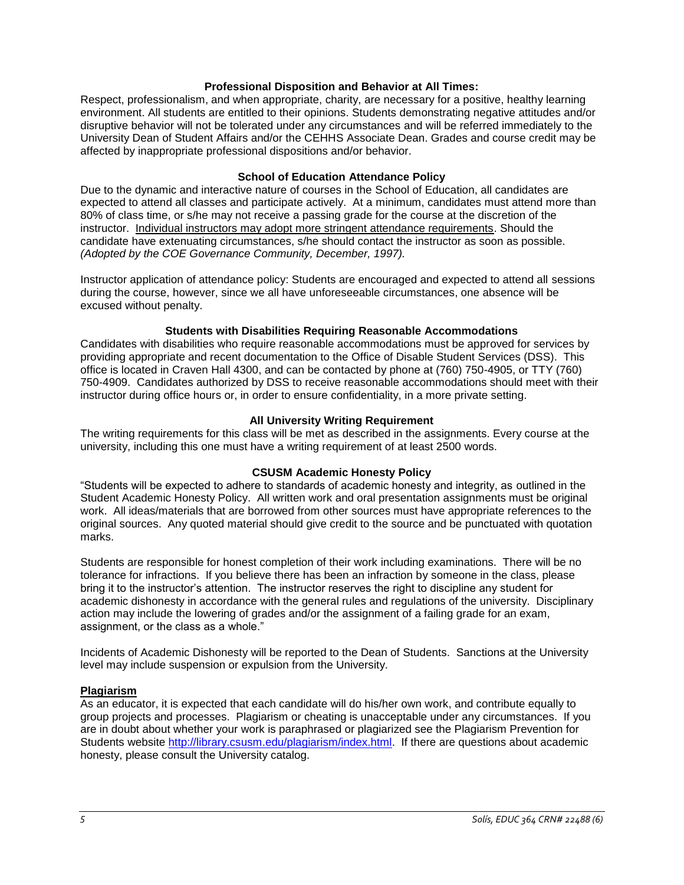### **Professional Disposition and Behavior at All Times:**

Respect, professionalism, and when appropriate, charity, are necessary for a positive, healthy learning environment. All students are entitled to their opinions. Students demonstrating negative attitudes and/or disruptive behavior will not be tolerated under any circumstances and will be referred immediately to the University Dean of Student Affairs and/or the CEHHS Associate Dean. Grades and course credit may be affected by inappropriate professional dispositions and/or behavior.

## **School of Education Attendance Policy**

<span id="page-4-0"></span>Due to the dynamic and interactive nature of courses in the School of Education, all candidates are expected to attend all classes and participate actively. At a minimum, candidates must attend more than 80% of class time, or s/he may not receive a passing grade for the course at the discretion of the instructor. Individual instructors may adopt more stringent attendance requirements. Should the candidate have extenuating circumstances, s/he should contact the instructor as soon as possible. *(Adopted by the COE Governance Community, December, 1997).*

Instructor application of attendance policy: Students are encouraged and expected to attend all sessions during the course, however, since we all have unforeseeable circumstances, one absence will be excused without penalty.

## **Students with Disabilities Requiring Reasonable Accommodations**

<span id="page-4-1"></span>Candidates with disabilities who require reasonable accommodations must be approved for services by providing appropriate and recent documentation to the Office of Disable Student Services (DSS). This office is located in Craven Hall 4300, and can be contacted by phone at (760) 750-4905, or TTY (760) 750-4909. Candidates authorized by DSS to receive reasonable accommodations should meet with their instructor during office hours or, in order to ensure confidentiality, in a more private setting.

# **All University Writing Requirement**

<span id="page-4-2"></span>The writing requirements for this class will be met as described in the assignments. Every course at the university, including this one must have a writing requirement of at least 2500 words.

# **CSUSM Academic Honesty Policy**

<span id="page-4-3"></span>"Students will be expected to adhere to standards of academic honesty and integrity, as outlined in the Student Academic Honesty Policy. All written work and oral presentation assignments must be original work. All ideas/materials that are borrowed from other sources must have appropriate references to the original sources. Any quoted material should give credit to the source and be punctuated with quotation marks.

Students are responsible for honest completion of their work including examinations. There will be no tolerance for infractions. If you believe there has been an infraction by someone in the class, please bring it to the instructor's attention. The instructor reserves the right to discipline any student for academic dishonesty in accordance with the general rules and regulations of the university. Disciplinary action may include the lowering of grades and/or the assignment of a failing grade for an exam, assignment, or the class as a whole."

Incidents of Academic Dishonesty will be reported to the Dean of Students. Sanctions at the University level may include suspension or expulsion from the University.

# <span id="page-4-4"></span>**Plagiarism**

As an educator, it is expected that each candidate will do his/her own work, and contribute equally to group projects and processes. Plagiarism or cheating is unacceptable under any circumstances. If you are in doubt about whether your work is paraphrased or plagiarized see the Plagiarism Prevention for Students website [http://library.csusm.edu/plagiarism/index.html.](http://library.csusm.edu/plagiarism/index.html) If there are questions about academic honesty, please consult the University catalog.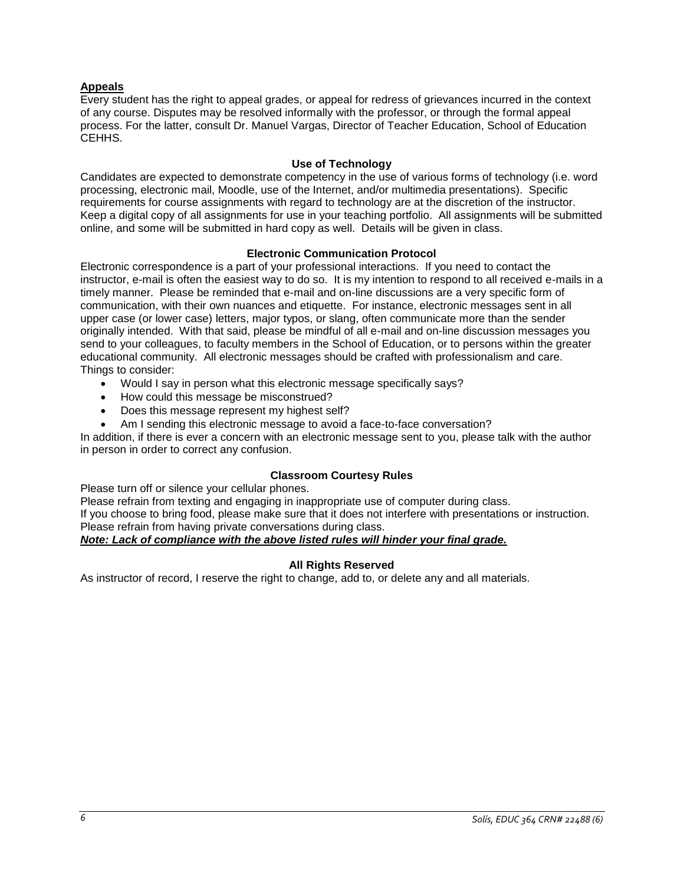# <span id="page-5-0"></span>**Appeals**

Every student has the right to appeal grades, or appeal for redress of grievances incurred in the context of any course. Disputes may be resolved informally with the professor, or through the formal appeal process. For the latter, consult Dr. Manuel Vargas, Director of Teacher Education, School of Education CEHHS.

### **Use of Technology**

<span id="page-5-1"></span>Candidates are expected to demonstrate competency in the use of various forms of technology (i.e. word processing, electronic mail, Moodle, use of the Internet, and/or multimedia presentations). Specific requirements for course assignments with regard to technology are at the discretion of the instructor. Keep a digital copy of all assignments for use in your teaching portfolio. All assignments will be submitted online, and some will be submitted in hard copy as well. Details will be given in class.

#### **Electronic Communication Protocol**

<span id="page-5-2"></span>Electronic correspondence is a part of your professional interactions. If you need to contact the instructor, e-mail is often the easiest way to do so. It is my intention to respond to all received e-mails in a timely manner. Please be reminded that e-mail and on-line discussions are a very specific form of communication, with their own nuances and etiquette. For instance, electronic messages sent in all upper case (or lower case) letters, major typos, or slang, often communicate more than the sender originally intended. With that said, please be mindful of all e-mail and on-line discussion messages you send to your colleagues, to faculty members in the School of Education, or to persons within the greater educational community. All electronic messages should be crafted with professionalism and care. Things to consider:

- Would I say in person what this electronic message specifically says?
- How could this message be misconstrued?
- Does this message represent my highest self?
- Am I sending this electronic message to avoid a face-to-face conversation?

In addition, if there is ever a concern with an electronic message sent to you, please talk with the author in person in order to correct any confusion.

# **Classroom Courtesy Rules**

<span id="page-5-3"></span>Please turn off or silence your cellular phones.

Please refrain from texting and engaging in inappropriate use of computer during class. If you choose to bring food, please make sure that it does not interfere with presentations or instruction. Please refrain from having private conversations during class.

# *Note: Lack of compliance with the above listed rules will hinder your final grade.*

# **All Rights Reserved**

<span id="page-5-4"></span>As instructor of record, I reserve the right to change, add to, or delete any and all materials.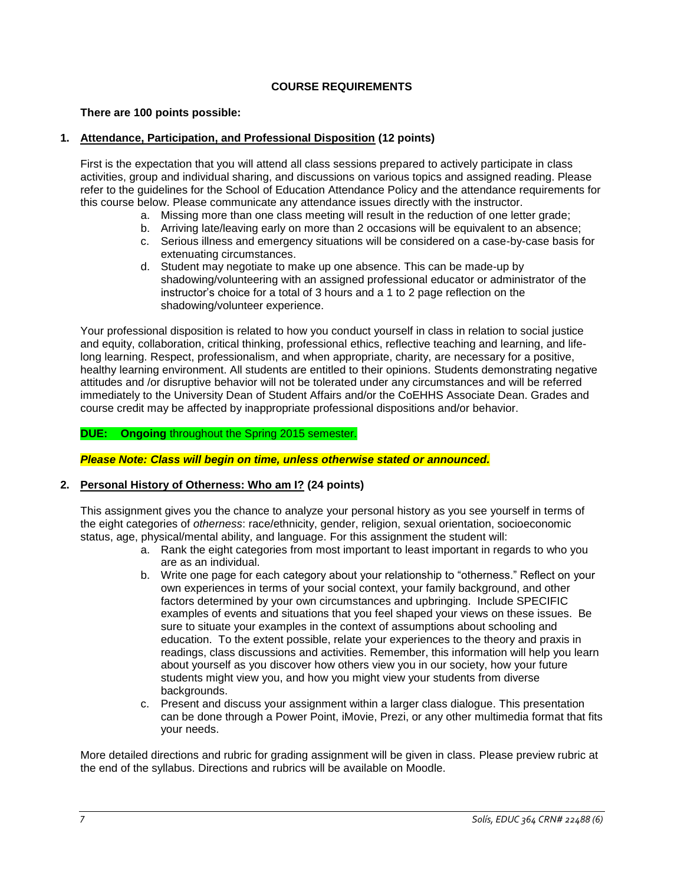# **COURSE REQUIREMENTS**

## <span id="page-6-1"></span><span id="page-6-0"></span>**There are 100 points possible:**

## **1. Attendance, Participation, and Professional Disposition (12 points)**

First is the expectation that you will attend all class sessions prepared to actively participate in class activities, group and individual sharing, and discussions on various topics and assigned reading. Please refer to the guidelines for the School of Education Attendance Policy and the attendance requirements for this course below. Please communicate any attendance issues directly with the instructor.

- a. Missing more than one class meeting will result in the reduction of one letter grade;
- b. Arriving late/leaving early on more than 2 occasions will be equivalent to an absence;
- c. Serious illness and emergency situations will be considered on a case-by-case basis for extenuating circumstances.
- d. Student may negotiate to make up one absence. This can be made-up by shadowing/volunteering with an assigned professional educator or administrator of the instructor's choice for a total of 3 hours and a 1 to 2 page reflection on the shadowing/volunteer experience.

Your professional disposition is related to how you conduct yourself in class in relation to social justice and equity, collaboration, critical thinking, professional ethics, reflective teaching and learning, and lifelong learning. Respect, professionalism, and when appropriate, charity, are necessary for a positive, healthy learning environment. All students are entitled to their opinions. Students demonstrating negative attitudes and /or disruptive behavior will not be tolerated under any circumstances and will be referred immediately to the University Dean of Student Affairs and/or the CoEHHS Associate Dean. Grades and course credit may be affected by inappropriate professional dispositions and/or behavior.

## **DUE: Ongoing** throughout the Spring 2015 semester.

*Please Note: Class will begin on time, unless otherwise stated or announced.*

# **2. Personal History of Otherness: Who am I? (24 points)**

This assignment gives you the chance to analyze your personal history as you see yourself in terms of the eight categories of *otherness*: race/ethnicity, gender, religion, sexual orientation, socioeconomic status, age, physical/mental ability, and language. For this assignment the student will:

- a. Rank the eight categories from most important to least important in regards to who you are as an individual.
- b. Write one page for each category about your relationship to "otherness." Reflect on your own experiences in terms of your social context, your family background, and other factors determined by your own circumstances and upbringing. Include SPECIFIC examples of events and situations that you feel shaped your views on these issues. Be sure to situate your examples in the context of assumptions about schooling and education. To the extent possible, relate your experiences to the theory and praxis in readings, class discussions and activities. Remember, this information will help you learn about yourself as you discover how others view you in our society, how your future students might view you, and how you might view your students from diverse backgrounds.
- c. Present and discuss your assignment within a larger class dialogue. This presentation can be done through a Power Point, iMovie, Prezi, or any other multimedia format that fits your needs.

More detailed directions and rubric for grading assignment will be given in class. Please preview rubric at the end of the syllabus. Directions and rubrics will be available on Moodle.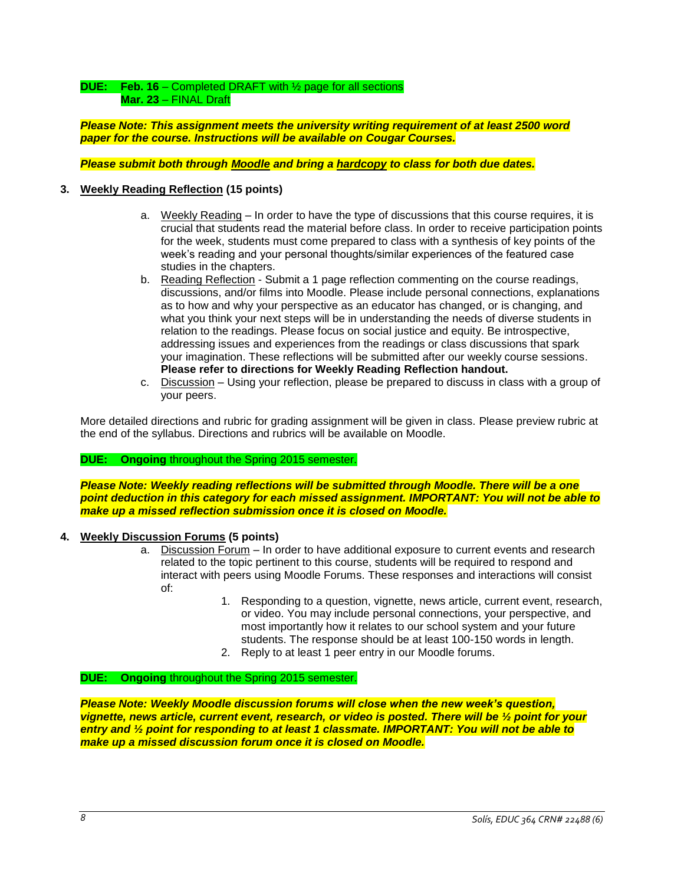# **DUE: Feb. 16** – Completed DRAFT with ½ page for all sections **Mar. 23** – FINAL Draft

*Please Note: This assignment meets the university writing requirement of at least 2500 word paper for the course. Instructions will be available on Cougar Courses.*

*Please submit both through Moodle and bring a hardcopy to class for both due dates.*

# **3. Weekly Reading Reflection (15 points)**

- a. Weekly Reading In order to have the type of discussions that this course requires, it is crucial that students read the material before class. In order to receive participation points for the week, students must come prepared to class with a synthesis of key points of the week's reading and your personal thoughts/similar experiences of the featured case studies in the chapters.
- b. Reading Reflection Submit a 1 page reflection commenting on the course readings, discussions, and/or films into Moodle. Please include personal connections, explanations as to how and why your perspective as an educator has changed, or is changing, and what you think your next steps will be in understanding the needs of diverse students in relation to the readings. Please focus on social justice and equity. Be introspective, addressing issues and experiences from the readings or class discussions that spark your imagination. These reflections will be submitted after our weekly course sessions. **Please refer to directions for Weekly Reading Reflection handout.**
- c. Discussion Using your reflection, please be prepared to discuss in class with a group of your peers.

More detailed directions and rubric for grading assignment will be given in class. Please preview rubric at the end of the syllabus. Directions and rubrics will be available on Moodle.

# **DUE: Ongoing** throughout the Spring 2015 semester.

*Please Note: Weekly reading reflections will be submitted through Moodle. There will be a one point deduction in this category for each missed assignment. IMPORTANT: You will not be able to make up a missed reflection submission once it is closed on Moodle.*

# **4. Weekly Discussion Forums (5 points)**

- a. Discussion Forum In order to have additional exposure to current events and research related to the topic pertinent to this course, students will be required to respond and interact with peers using Moodle Forums. These responses and interactions will consist of:
	- 1. Responding to a question, vignette, news article, current event, research, or video. You may include personal connections, your perspective, and most importantly how it relates to our school system and your future students. The response should be at least 100-150 words in length.
	- 2. Reply to at least 1 peer entry in our Moodle forums.

#### **DUE: Ongoing** throughout the Spring 2015 semester.

*Please Note: Weekly Moodle discussion forums will close when the new week's question, vignette, news article, current event, research, or video is posted. There will be ½ point for your entry and ½ point for responding to at least 1 classmate. IMPORTANT: You will not be able to make up a missed discussion forum once it is closed on Moodle.*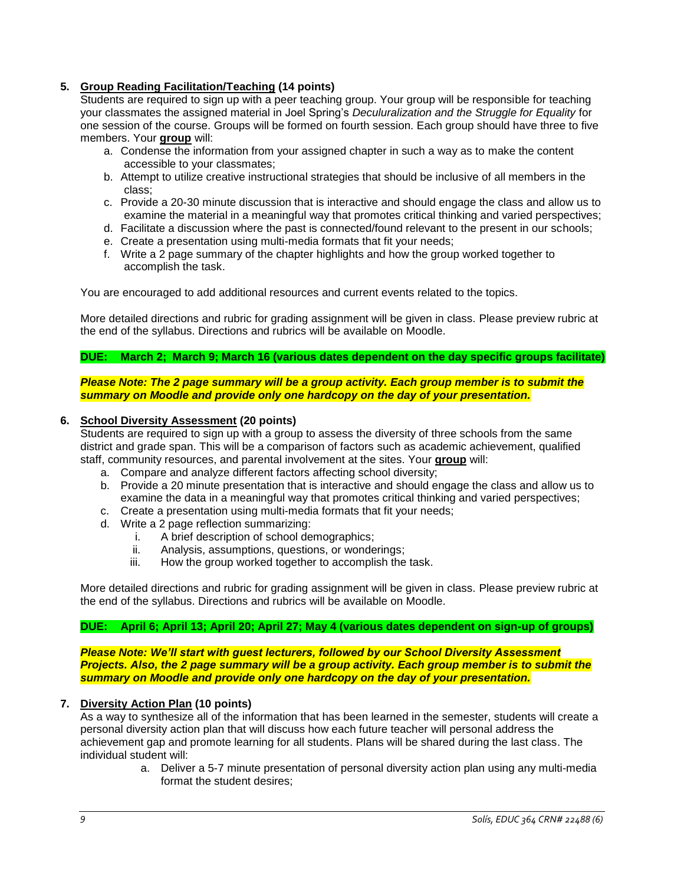# **5. Group Reading Facilitation/Teaching (14 points)**

Students are required to sign up with a peer teaching group. Your group will be responsible for teaching your classmates the assigned material in Joel Spring's *Deculuralization and the Struggle for Equality* for one session of the course. Groups will be formed on fourth session. Each group should have three to five members. Your **group** will:

- a. Condense the information from your assigned chapter in such a way as to make the content accessible to your classmates;
- b. Attempt to utilize creative instructional strategies that should be inclusive of all members in the class;
- c. Provide a 20-30 minute discussion that is interactive and should engage the class and allow us to examine the material in a meaningful way that promotes critical thinking and varied perspectives;
- d. Facilitate a discussion where the past is connected/found relevant to the present in our schools;
- e. Create a presentation using multi-media formats that fit your needs;
- f. Write a 2 page summary of the chapter highlights and how the group worked together to accomplish the task.

You are encouraged to add additional resources and current events related to the topics.

More detailed directions and rubric for grading assignment will be given in class. Please preview rubric at the end of the syllabus. Directions and rubrics will be available on Moodle.

**DUE: March 2; March 9; March 16 (various dates dependent on the day specific groups facilitate)**

*Please Note: The 2 page summary will be a group activity. Each group member is to submit the summary on Moodle and provide only one hardcopy on the day of your presentation.*

#### **6. School Diversity Assessment (20 points)**

Students are required to sign up with a group to assess the diversity of three schools from the same district and grade span. This will be a comparison of factors such as academic achievement, qualified staff, community resources, and parental involvement at the sites. Your **group** will:

- a. Compare and analyze different factors affecting school diversity;
- b. Provide a 20 minute presentation that is interactive and should engage the class and allow us to examine the data in a meaningful way that promotes critical thinking and varied perspectives;
- c. Create a presentation using multi-media formats that fit your needs;
- d. Write a 2 page reflection summarizing:
	- i. A brief description of school demographics;
	- ii. Analysis, assumptions, questions, or wonderings;
	- iii. How the group worked together to accomplish the task.

More detailed directions and rubric for grading assignment will be given in class. Please preview rubric at the end of the syllabus. Directions and rubrics will be available on Moodle.

# **DUE: April 6; April 13; April 20; April 27; May 4 (various dates dependent on sign-up of groups)**

*Please Note: We'll start with guest lecturers, followed by our School Diversity Assessment Projects. Also, the 2 page summary will be a group activity. Each group member is to submit the summary on Moodle and provide only one hardcopy on the day of your presentation.*

#### **7. Diversity Action Plan (10 points)**

As a way to synthesize all of the information that has been learned in the semester, students will create a personal diversity action plan that will discuss how each future teacher will personal address the achievement gap and promote learning for all students. Plans will be shared during the last class. The individual student will:

a. Deliver a 5-7 minute presentation of personal diversity action plan using any multi-media format the student desires;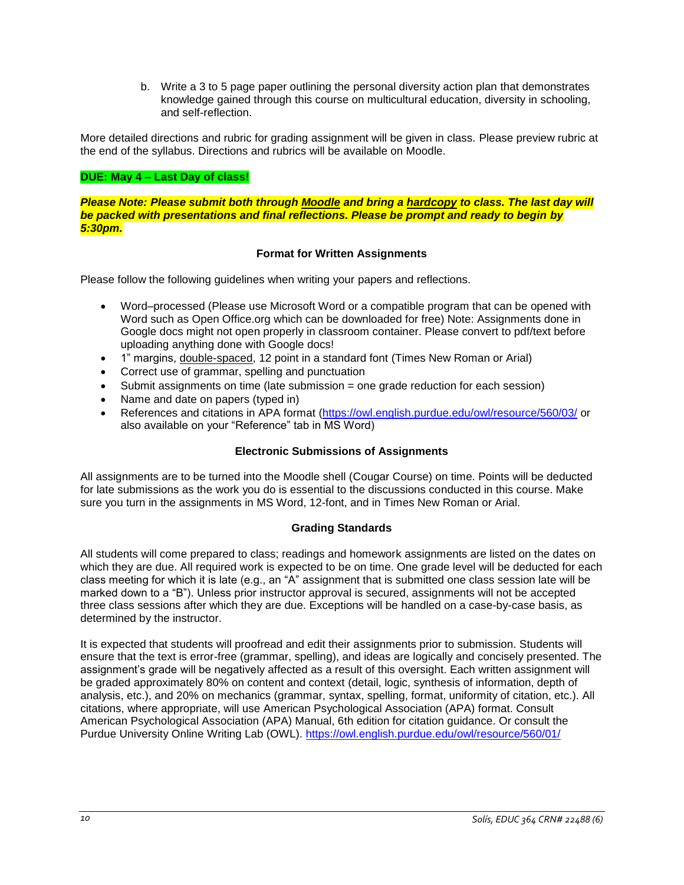b. Write a 3 to 5 page paper outlining the personal diversity action plan that demonstrates knowledge gained through this course on multicultural education, diversity in schooling, and self-reflection.

More detailed directions and rubric for grading assignment will be given in class. Please preview rubric at the end of the syllabus. Directions and rubrics will be available on Moodle.

# **DUE: May 4 – Last Day of class!**

*Please Note: Please submit both through Moodle and bring a hardcopy to class. The last day will be packed with presentations and final reflections. Please be prompt and ready to begin by 5:30pm.*

## **Format for Written Assignments**

<span id="page-9-0"></span>Please follow the following guidelines when writing your papers and reflections.

- Word–processed (Please use Microsoft Word or a compatible program that can be opened with Word such as Open Office.org which can be downloaded for free) Note: Assignments done in Google docs might not open properly in classroom container. Please convert to pdf/text before uploading anything done with Google docs!
- 1" margins, double-spaced, 12 point in a standard font (Times New Roman or Arial)
- Correct use of grammar, spelling and punctuation
- Submit assignments on time (late submission = one grade reduction for each session)
- Name and date on papers (typed in)
- References and citations in APA format [\(https://owl.english.purdue.edu/owl/resource/560/03/](https://owl.english.purdue.edu/owl/resource/560/03/) or also available on your "Reference" tab in MS Word)

#### **Electronic Submissions of Assignments**

<span id="page-9-1"></span>All assignments are to be turned into the Moodle shell (Cougar Course) on time. Points will be deducted for late submissions as the work you do is essential to the discussions conducted in this course. Make sure you turn in the assignments in MS Word, 12-font, and in Times New Roman or Arial.

#### **Grading Standards**

<span id="page-9-2"></span>All students will come prepared to class; readings and homework assignments are listed on the dates on which they are due. All required work is expected to be on time. One grade level will be deducted for each class meeting for which it is late (e.g., an "A" assignment that is submitted one class session late will be marked down to a "B"). Unless prior instructor approval is secured, assignments will not be accepted three class sessions after which they are due. Exceptions will be handled on a case-by-case basis, as determined by the instructor.

It is expected that students will proofread and edit their assignments prior to submission. Students will ensure that the text is error-free (grammar, spelling), and ideas are logically and concisely presented. The assignment's grade will be negatively affected as a result of this oversight. Each written assignment will be graded approximately 80% on content and context (detail, logic, synthesis of information, depth of analysis, etc.), and 20% on mechanics (grammar, syntax, spelling, format, uniformity of citation, etc.). All citations, where appropriate, will use American Psychological Association (APA) format. Consult American Psychological Association (APA) Manual, 6th edition for citation guidance. Or consult the Purdue University Online Writing Lab (OWL).<https://owl.english.purdue.edu/owl/resource/560/01/>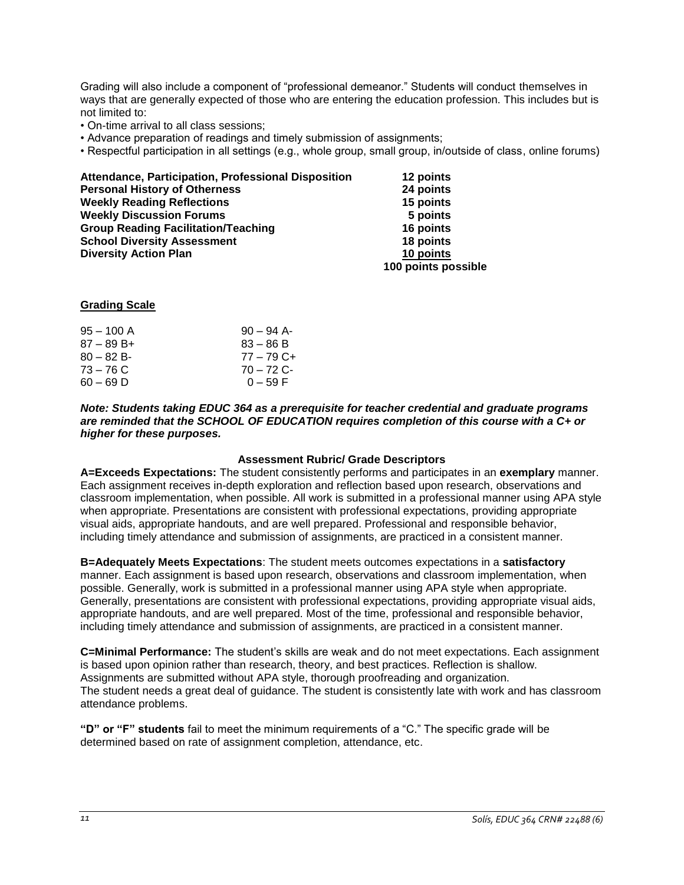Grading will also include a component of "professional demeanor." Students will conduct themselves in ways that are generally expected of those who are entering the education profession. This includes but is not limited to:

- On-time arrival to all class sessions;
- Advance preparation of readings and timely submission of assignments;
- Respectful participation in all settings (e.g., whole group, small group, in/outside of class, online forums)

| Attendance, Participation, Professional Disposition | 12 points           |
|-----------------------------------------------------|---------------------|
| <b>Personal History of Otherness</b>                | 24 points           |
| <b>Weekly Reading Reflections</b>                   | 15 points           |
| <b>Weekly Discussion Forums</b>                     | 5 points            |
| <b>Group Reading Facilitation/Teaching</b>          | 16 points           |
| <b>School Diversity Assessment</b>                  | 18 points           |
| <b>Diversity Action Plan</b>                        | 10 points           |
|                                                     | 100 points possible |

## <span id="page-10-0"></span>**Grading Scale**

| $95 - 100$ A  | $90 - 94$ A- |
|---------------|--------------|
| $87 - 89 B +$ | $83 - 86 B$  |
| $80 - 82 B$   | 77 – 79 C+   |
| $73 - 76$ C   | $70 - 72$ C- |
| $60 - 69$ D   | $0 - 59 F$   |

*Note: Students taking EDUC 364 as a prerequisite for teacher credential and graduate programs are reminded that the SCHOOL OF EDUCATION requires completion of this course with a C+ or higher for these purposes.*

#### **Assessment Rubric/ Grade Descriptors**

<span id="page-10-1"></span>**A=Exceeds Expectations:** The student consistently performs and participates in an **exemplary** manner. Each assignment receives in-depth exploration and reflection based upon research, observations and classroom implementation, when possible. All work is submitted in a professional manner using APA style when appropriate. Presentations are consistent with professional expectations, providing appropriate visual aids, appropriate handouts, and are well prepared. Professional and responsible behavior, including timely attendance and submission of assignments, are practiced in a consistent manner.

**B=Adequately Meets Expectations**: The student meets outcomes expectations in a **satisfactory** manner. Each assignment is based upon research, observations and classroom implementation, when possible. Generally, work is submitted in a professional manner using APA style when appropriate. Generally, presentations are consistent with professional expectations, providing appropriate visual aids, appropriate handouts, and are well prepared. Most of the time, professional and responsible behavior, including timely attendance and submission of assignments, are practiced in a consistent manner.

**C=Minimal Performance:** The student's skills are weak and do not meet expectations. Each assignment is based upon opinion rather than research, theory, and best practices. Reflection is shallow. Assignments are submitted without APA style, thorough proofreading and organization. The student needs a great deal of guidance. The student is consistently late with work and has classroom attendance problems.

**"D" or "F" students** fail to meet the minimum requirements of a "C." The specific grade will be determined based on rate of assignment completion, attendance, etc.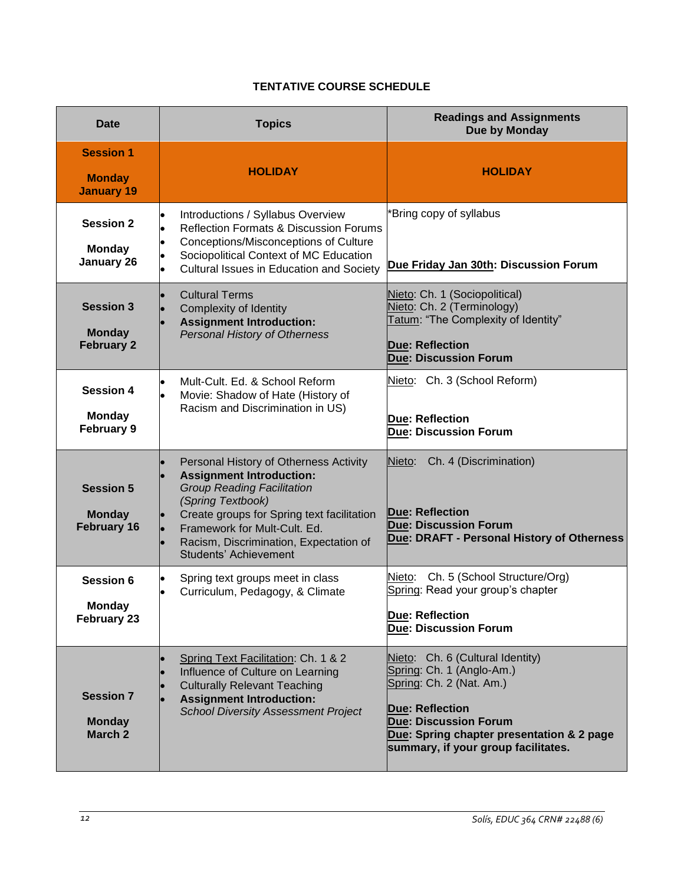# **TENTATIVE COURSE SCHEDULE**

<span id="page-11-0"></span>

| <b>Date</b>                                             | <b>Topics</b>                                                                                                                                                                                                                                                                               | <b>Readings and Assignments</b><br>Due by Monday                                                                                                                                                                                        |
|---------------------------------------------------------|---------------------------------------------------------------------------------------------------------------------------------------------------------------------------------------------------------------------------------------------------------------------------------------------|-----------------------------------------------------------------------------------------------------------------------------------------------------------------------------------------------------------------------------------------|
| <b>Session 1</b><br><b>Monday</b><br><b>January 19</b>  | <b>HOLIDAY</b>                                                                                                                                                                                                                                                                              | <b>HOLIDAY</b>                                                                                                                                                                                                                          |
| <b>Session 2</b><br><b>Monday</b><br>January 26         | Introductions / Syllabus Overview<br><b>Reflection Formats &amp; Discussion Forums</b><br>Conceptions/Misconceptions of Culture<br>Sociopolitical Context of MC Education<br>Cultural Issues in Education and Society                                                                       | 'Bring copy of syllabus<br>Due Friday Jan 30th: Discussion Forum                                                                                                                                                                        |
| <b>Session 3</b><br><b>Monday</b><br><b>February 2</b>  | <b>Cultural Terms</b><br>Complexity of Identity<br><b>Assignment Introduction:</b><br><b>Personal History of Otherness</b>                                                                                                                                                                  | Nieto: Ch. 1 (Sociopolitical)<br>Nieto: Ch. 2 (Terminology)<br>Tatum: "The Complexity of Identity"<br><b>Due: Reflection</b><br><b>Due: Discussion Forum</b>                                                                            |
| <b>Session 4</b><br><b>Monday</b><br><b>February 9</b>  | Mult-Cult. Ed. & School Reform<br>Movie: Shadow of Hate (History of<br>Racism and Discrimination in US)                                                                                                                                                                                     | Nieto: Ch. 3 (School Reform)<br>Due: Reflection<br><b>Due: Discussion Forum</b>                                                                                                                                                         |
| <b>Session 5</b><br><b>Monday</b><br><b>February 16</b> | Personal History of Otherness Activity<br><b>Assignment Introduction:</b><br><b>Group Reading Facilitation</b><br>(Spring Textbook)<br>Create groups for Spring text facilitation<br>Framework for Mult-Cult. Ed.<br>Racism, Discrimination, Expectation of<br><b>Students' Achievement</b> | Ch. 4 (Discrimination)<br>Nieto:<br><b>Due: Reflection</b><br><b>Due: Discussion Forum</b><br>Due: DRAFT - Personal History of Otherness                                                                                                |
| Session 6<br><b>Monday</b><br>February 23               | Spring text groups meet in class<br>Curriculum, Pedagogy, & Climate                                                                                                                                                                                                                         | Ch. 5 (School Structure/Org)<br>Nieto:<br>Spring: Read your group's chapter<br>Due: Reflection<br><b>Due: Discussion Forum</b>                                                                                                          |
| <b>Session 7</b><br><b>Monday</b><br>March 2            | Spring Text Facilitation: Ch. 1 & 2<br>Influence of Culture on Learning<br><b>Culturally Relevant Teaching</b><br><b>Assignment Introduction:</b><br><b>School Diversity Assessment Project</b>                                                                                             | Nieto: Ch. 6 (Cultural Identity)<br>Spring: Ch. 1 (Anglo-Am.)<br>Spring: Ch. 2 (Nat. Am.)<br><b>Due: Reflection</b><br><b>Due: Discussion Forum</b><br>Due: Spring chapter presentation & 2 page<br>summary, if your group facilitates. |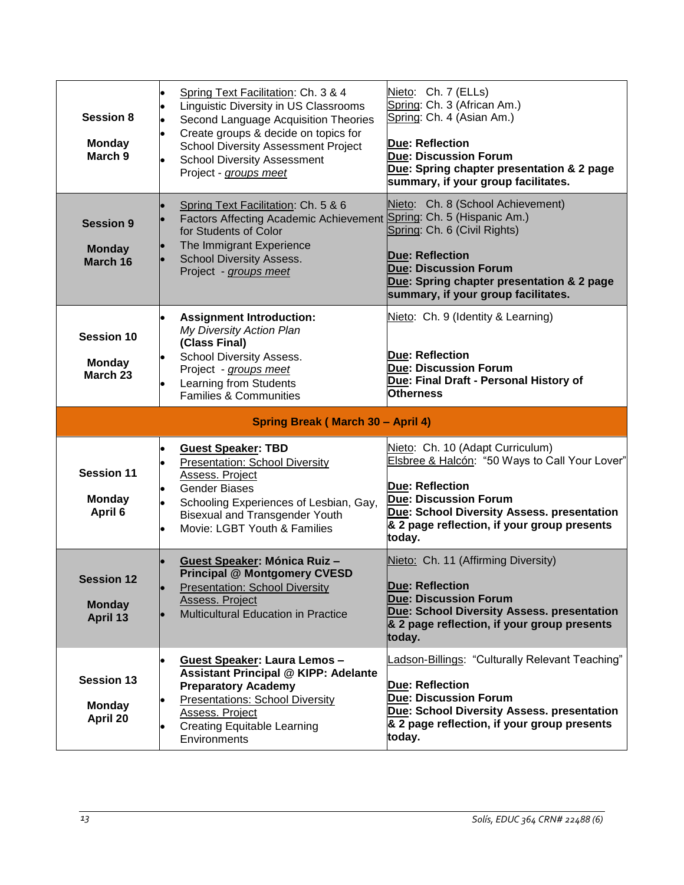| <b>Session 8</b><br><b>Monday</b><br>March <sub>9</sub> | Spring Text Facilitation: Ch. 3 & 4<br>Linguistic Diversity in US Classrooms<br>Second Language Acquisition Theories<br>Create groups & decide on topics for<br><b>School Diversity Assessment Project</b><br><b>School Diversity Assessment</b><br>Project - groups meet | Nieto: Ch. 7 (ELLs)<br>Spring: Ch. 3 (African Am.)<br>Spring: Ch. 4 (Asian Am.)<br>Due: Reflection<br><b>Due: Discussion Forum</b><br>Due: Spring chapter presentation & 2 page<br>summary, if your group facilitates.                              |
|---------------------------------------------------------|---------------------------------------------------------------------------------------------------------------------------------------------------------------------------------------------------------------------------------------------------------------------------|-----------------------------------------------------------------------------------------------------------------------------------------------------------------------------------------------------------------------------------------------------|
| <b>Session 9</b><br><b>Monday</b><br>March 16           | Spring Text Facilitation: Ch. 5 & 6<br>Factors Affecting Academic Achievement Spring: Ch. 5 (Hispanic Am.)<br>for Students of Color<br>The Immigrant Experience<br><b>School Diversity Assess.</b><br>Project - groups meet                                               | Nieto: Ch. 8 (School Achievement)<br>Spring: Ch. 6 (Civil Rights)<br><b>Due: Reflection</b><br><b>Due: Discussion Forum</b><br>Due: Spring chapter presentation & 2 page<br>summary, if your group facilitates.                                     |
| <b>Session 10</b><br><b>Monday</b><br>March 23          | <b>Assignment Introduction:</b><br>My Diversity Action Plan<br>(Class Final)<br><b>School Diversity Assess.</b><br>Project - groups meet<br>Learning from Students<br>Families & Communities                                                                              | Nieto: Ch. 9 (Identity & Learning)<br><b>Due: Reflection</b><br><b>Due: Discussion Forum</b><br>Due: Final Draft - Personal History of<br><b>Otherness</b>                                                                                          |
|                                                         | Spring Break (March 30 - April 4)                                                                                                                                                                                                                                         |                                                                                                                                                                                                                                                     |
| <b>Session 11</b><br><b>Monday</b><br>April 6           | <b>Guest Speaker: TBD</b><br><b>Presentation: School Diversity</b><br>Assess. Project<br><b>Gender Biases</b><br>Schooling Experiences of Lesbian, Gay,<br><b>Bisexual and Transgender Youth</b><br>Movie: LGBT Youth & Families                                          | Nieto: Ch. 10 (Adapt Curriculum)<br>Elsbree & Halcón: "50 Ways to Call Your Lover"<br><b>Due: Reflection</b><br><b>Due: Discussion Forum</b><br>Due: School Diversity Assess. presentation<br>& 2 page reflection, if your group presents<br>today. |
| <b>Session 12</b><br><b>Monday</b><br>April 13          | Guest Speaker: Mónica Ruiz -<br><b>Principal @ Montgomery CVESD</b><br><b>Presentation: School Diversity</b><br>Assess. Project<br>Multicultural Education in Practice                                                                                                    | Nieto: Ch. 11 (Affirming Diversity)<br><b>Due: Reflection</b><br><b>Due: Discussion Forum</b><br>Due: School Diversity Assess. presentation<br>& 2 page reflection, if your group presents<br>today.                                                |
| <b>Session 13</b><br><b>Monday</b><br>April 20          | Guest Speaker: Laura Lemos -<br><b>Assistant Principal @ KIPP: Adelante</b><br><b>Preparatory Academy</b><br><b>Presentations: School Diversity</b><br>Assess. Project<br><b>Creating Equitable Learning</b><br>Environments                                              | Ladson-Billings: "Culturally Relevant Teaching"<br>Due: Reflection<br><b>Due: Discussion Forum</b><br>Due: School Diversity Assess. presentation<br>& 2 page reflection, if your group presents<br>today.                                           |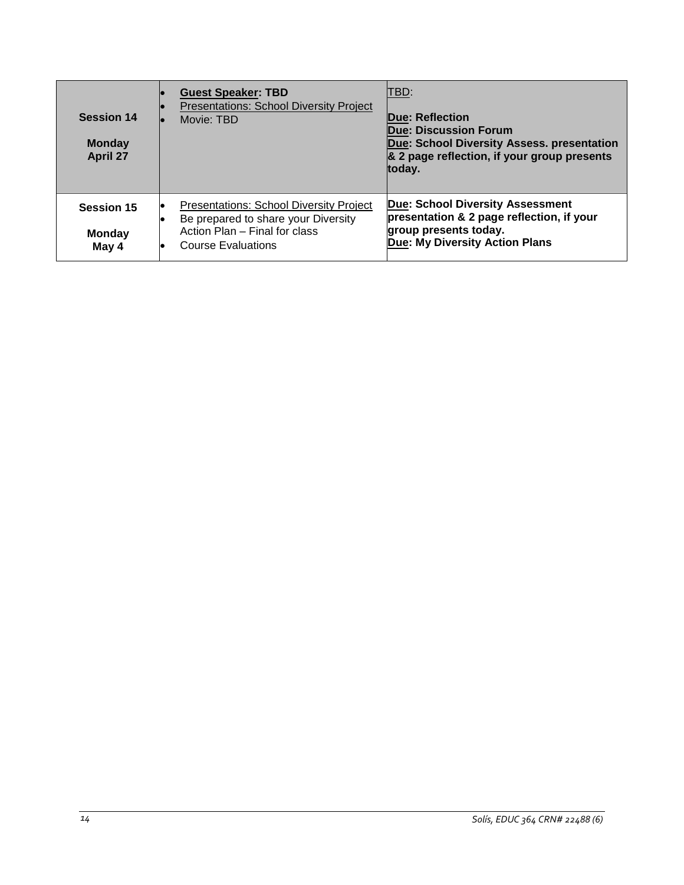| <b>Session 14</b><br><b>Monday</b><br><b>April 27</b> | <b>Guest Speaker: TBD</b><br><b>Presentations: School Diversity Project</b><br>Movie: TBD                                                           | TBD:<br>Due: Reflection<br><b>Due: Discussion Forum</b><br>Due: School Diversity Assess. presentation<br>& 2 page reflection, if your group presents<br>today. |
|-------------------------------------------------------|-----------------------------------------------------------------------------------------------------------------------------------------------------|----------------------------------------------------------------------------------------------------------------------------------------------------------------|
| <b>Session 15</b><br><b>Monday</b><br>May 4           | <b>Presentations: School Diversity Project</b><br>Be prepared to share your Diversity<br>Action Plan - Final for class<br><b>Course Evaluations</b> | <b>Due: School Diversity Assessment</b><br>presentation & 2 page reflection, if your<br>group presents today.<br>Due: My Diversity Action Plans                |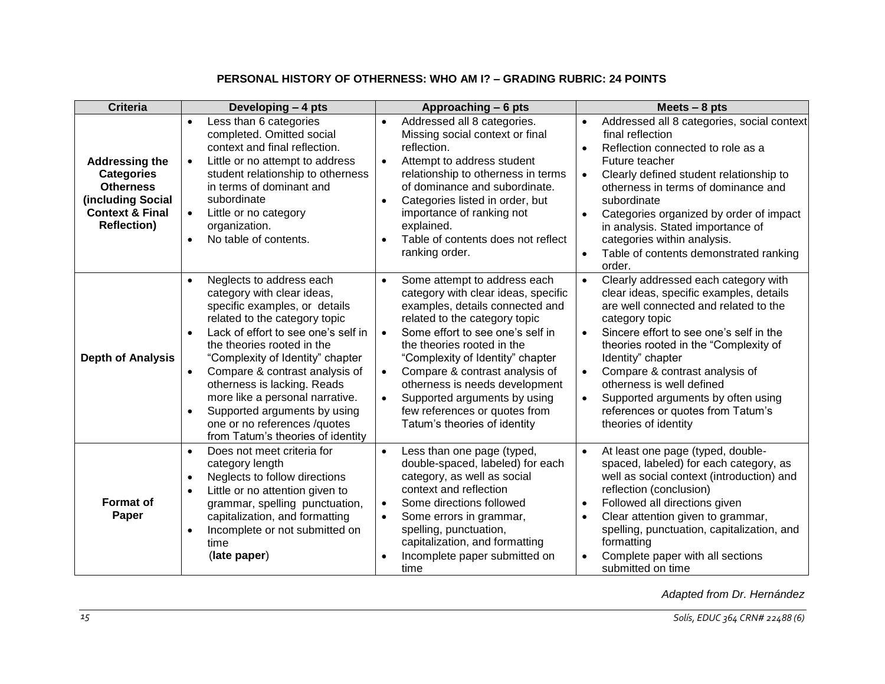# **PERSONAL HISTORY OF OTHERNESS: WHO AM I? – GRADING RUBRIC: 24 POINTS**

<span id="page-14-0"></span>

| <b>Criteria</b>                                                                                                                         | Developing - 4 pts                                                                                                                                                                                                                                                                                                                                                                                                                                                   | Approaching - 6 pts                                                                                                                                                                                                                                                                                                                                                                                                                                                    | Meets $-8$ pts                                                                                                                                                                                                                                                                                                                                                                                                                                                            |
|-----------------------------------------------------------------------------------------------------------------------------------------|----------------------------------------------------------------------------------------------------------------------------------------------------------------------------------------------------------------------------------------------------------------------------------------------------------------------------------------------------------------------------------------------------------------------------------------------------------------------|------------------------------------------------------------------------------------------------------------------------------------------------------------------------------------------------------------------------------------------------------------------------------------------------------------------------------------------------------------------------------------------------------------------------------------------------------------------------|---------------------------------------------------------------------------------------------------------------------------------------------------------------------------------------------------------------------------------------------------------------------------------------------------------------------------------------------------------------------------------------------------------------------------------------------------------------------------|
| <b>Addressing the</b><br><b>Categories</b><br><b>Otherness</b><br>(including Social<br><b>Context &amp; Final</b><br><b>Reflection)</b> | Less than 6 categories<br>$\bullet$<br>completed. Omitted social<br>context and final reflection.<br>Little or no attempt to address<br>$\bullet$<br>student relationship to otherness<br>in terms of dominant and<br>subordinate<br>Little or no category<br>$\bullet$<br>organization.<br>No table of contents.<br>$\bullet$                                                                                                                                       | Addressed all 8 categories.<br>$\bullet$<br>Missing social context or final<br>reflection.<br>Attempt to address student<br>$\bullet$<br>relationship to otherness in terms<br>of dominance and subordinate.<br>Categories listed in order, but<br>$\bullet$<br>importance of ranking not<br>explained.<br>Table of contents does not reflect<br>$\bullet$<br>ranking order.                                                                                           | Addressed all 8 categories, social context<br>$\bullet$<br>final reflection<br>Reflection connected to role as a<br>$\bullet$<br>Future teacher<br>Clearly defined student relationship to<br>$\bullet$<br>otherness in terms of dominance and<br>subordinate<br>Categories organized by order of impact<br>$\bullet$<br>in analysis. Stated importance of<br>categories within analysis.<br>Table of contents demonstrated ranking<br>$\bullet$<br>order.                |
| <b>Depth of Analysis</b>                                                                                                                | Neglects to address each<br>$\bullet$<br>category with clear ideas,<br>specific examples, or details<br>related to the category topic<br>Lack of effort to see one's self in<br>$\bullet$<br>the theories rooted in the<br>"Complexity of Identity" chapter<br>Compare & contrast analysis of<br>otherness is lacking. Reads<br>more like a personal narrative.<br>Supported arguments by using<br>one or no references /quotes<br>from Tatum's theories of identity | Some attempt to address each<br>$\bullet$<br>category with clear ideas, specific<br>examples, details connected and<br>related to the category topic<br>Some effort to see one's self in<br>$\bullet$<br>the theories rooted in the<br>"Complexity of Identity" chapter<br>Compare & contrast analysis of<br>$\bullet$<br>otherness is needs development<br>Supported arguments by using<br>$\bullet$<br>few references or quotes from<br>Tatum's theories of identity | Clearly addressed each category with<br>$\bullet$<br>clear ideas, specific examples, details<br>are well connected and related to the<br>category topic<br>Sincere effort to see one's self in the<br>$\bullet$<br>theories rooted in the "Complexity of<br>Identity" chapter<br>Compare & contrast analysis of<br>$\bullet$<br>otherness is well defined<br>Supported arguments by often using<br>$\bullet$<br>references or quotes from Tatum's<br>theories of identity |
| <b>Format of</b><br>Paper                                                                                                               | Does not meet criteria for<br>$\bullet$<br>category length<br>Neglects to follow directions<br>$\bullet$<br>Little or no attention given to<br>$\bullet$<br>grammar, spelling punctuation,<br>capitalization, and formatting<br>Incomplete or not submitted on<br>$\bullet$<br>time<br>(late paper)                                                                                                                                                                  | Less than one page (typed,<br>$\bullet$<br>double-spaced, labeled) for each<br>category, as well as social<br>context and reflection<br>Some directions followed<br>$\bullet$<br>Some errors in grammar,<br>$\bullet$<br>spelling, punctuation,<br>capitalization, and formatting<br>Incomplete paper submitted on<br>$\bullet$<br>time                                                                                                                                | At least one page (typed, double-<br>$\bullet$<br>spaced, labeled) for each category, as<br>well as social context (introduction) and<br>reflection (conclusion)<br>Followed all directions given<br>$\bullet$<br>Clear attention given to grammar,<br>$\bullet$<br>spelling, punctuation, capitalization, and<br>formatting<br>Complete paper with all sections<br>$\bullet$<br>submitted on time                                                                        |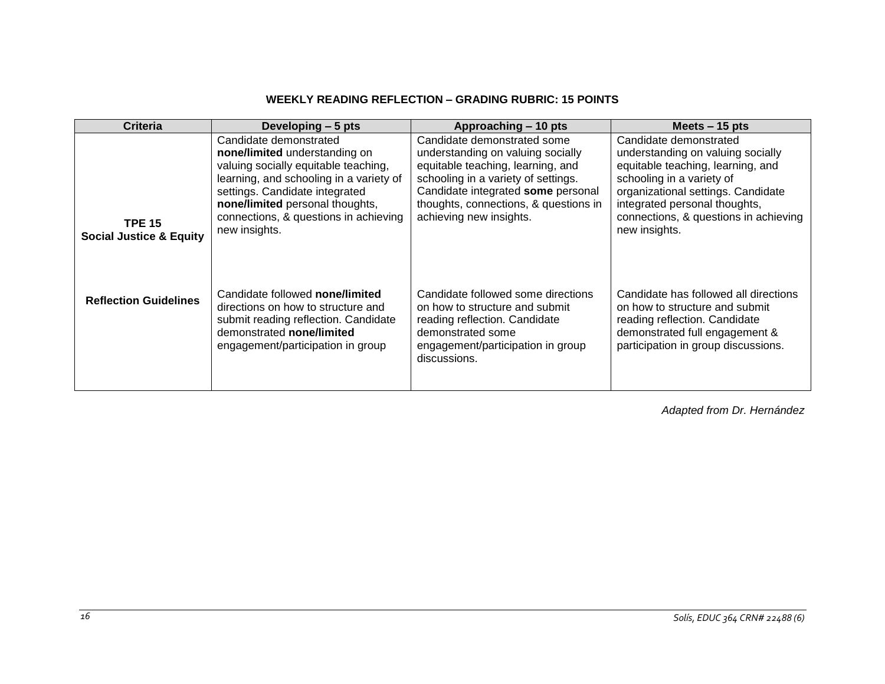# **WEEKLY READING REFLECTION – GRADING RUBRIC: 15 POINTS**

<span id="page-15-0"></span>

| Criteria                                            | Developing - 5 pts                                                                                                                                                                                                                                                        | Approaching – 10 pts                                                                                                                                                                                                                                   | Meets $-15$ pts                                                                                                                                                                                                                                                |
|-----------------------------------------------------|---------------------------------------------------------------------------------------------------------------------------------------------------------------------------------------------------------------------------------------------------------------------------|--------------------------------------------------------------------------------------------------------------------------------------------------------------------------------------------------------------------------------------------------------|----------------------------------------------------------------------------------------------------------------------------------------------------------------------------------------------------------------------------------------------------------------|
| <b>TPE 15</b><br><b>Social Justice &amp; Equity</b> | Candidate demonstrated<br>none/limited understanding on<br>valuing socially equitable teaching,<br>learning, and schooling in a variety of<br>settings. Candidate integrated<br>none/limited personal thoughts,<br>connections, & questions in achieving<br>new insights. | Candidate demonstrated some<br>understanding on valuing socially<br>equitable teaching, learning, and<br>schooling in a variety of settings.<br>Candidate integrated some personal<br>thoughts, connections, & questions in<br>achieving new insights. | Candidate demonstrated<br>understanding on valuing socially<br>equitable teaching, learning, and<br>schooling in a variety of<br>organizational settings. Candidate<br>integrated personal thoughts,<br>connections, & questions in achieving<br>new insights. |
| <b>Reflection Guidelines</b>                        | Candidate followed none/limited<br>directions on how to structure and<br>submit reading reflection. Candidate<br>demonstrated none/limited<br>engagement/participation in group                                                                                           | Candidate followed some directions<br>on how to structure and submit<br>reading reflection. Candidate<br>demonstrated some<br>engagement/participation in group<br>discussions.                                                                        | Candidate has followed all directions<br>on how to structure and submit<br>reading reflection. Candidate<br>demonstrated full engagement &<br>participation in group discussions.                                                                              |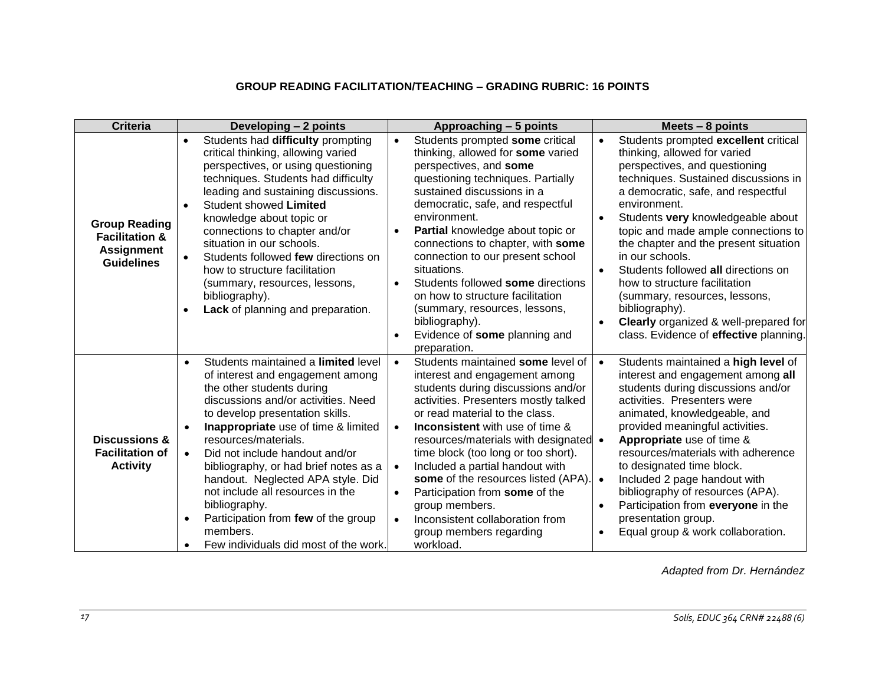# **GROUP READING FACILITATION/TEACHING – GRADING RUBRIC: 16 POINTS**

<span id="page-16-0"></span>

| <b>Criteria</b>                                                                             | Developing - 2 points                                                                                                                                                                                                                                                                                                                                                                                                                                                                                                                    | Approaching - 5 points                                                                                                                                                                                                                                                                                                                                                                                                                                                                                                                                                                 | Meets $-8$ points                                                                                                                                                                                                                                                                                                                                                                                                                                                                                                                                                                                       |
|---------------------------------------------------------------------------------------------|------------------------------------------------------------------------------------------------------------------------------------------------------------------------------------------------------------------------------------------------------------------------------------------------------------------------------------------------------------------------------------------------------------------------------------------------------------------------------------------------------------------------------------------|----------------------------------------------------------------------------------------------------------------------------------------------------------------------------------------------------------------------------------------------------------------------------------------------------------------------------------------------------------------------------------------------------------------------------------------------------------------------------------------------------------------------------------------------------------------------------------------|---------------------------------------------------------------------------------------------------------------------------------------------------------------------------------------------------------------------------------------------------------------------------------------------------------------------------------------------------------------------------------------------------------------------------------------------------------------------------------------------------------------------------------------------------------------------------------------------------------|
| <b>Group Reading</b><br><b>Facilitation &amp;</b><br><b>Assignment</b><br><b>Guidelines</b> | Students had difficulty prompting<br>$\bullet$<br>critical thinking, allowing varied<br>perspectives, or using questioning<br>techniques. Students had difficulty<br>leading and sustaining discussions.<br>Student showed Limited<br>$\bullet$<br>knowledge about topic or<br>connections to chapter and/or<br>situation in our schools.<br>Students followed few directions on<br>how to structure facilitation<br>(summary, resources, lessons,<br>bibliography).<br>Lack of planning and preparation.                                | Students prompted some critical<br>thinking, allowed for some varied<br>perspectives, and some<br>questioning techniques. Partially<br>sustained discussions in a<br>democratic, safe, and respectful<br>environment.<br>Partial knowledge about topic or<br>$\bullet$<br>connections to chapter, with some<br>connection to our present school<br>situations.<br>Students followed some directions<br>$\bullet$<br>on how to structure facilitation<br>(summary, resources, lessons,<br>bibliography).<br>Evidence of some planning and<br>$\bullet$<br>preparation.                  | Students prompted excellent critical<br>thinking, allowed for varied<br>perspectives, and questioning<br>techniques. Sustained discussions in<br>a democratic, safe, and respectful<br>environment.<br>Students very knowledgeable about<br>$\bullet$<br>topic and made ample connections to<br>the chapter and the present situation<br>in our schools.<br>Students followed all directions on<br>$\bullet$<br>how to structure facilitation<br>(summary, resources, lessons,<br>bibliography).<br><b>Clearly</b> organized & well-prepared for<br>$\bullet$<br>class. Evidence of effective planning. |
| <b>Discussions &amp;</b><br><b>Facilitation of</b><br><b>Activity</b>                       | Students maintained a limited level<br>$\bullet$<br>of interest and engagement among<br>the other students during<br>discussions and/or activities. Need<br>to develop presentation skills.<br>Inappropriate use of time & limited<br>resources/materials.<br>Did not include handout and/or<br>$\bullet$<br>bibliography, or had brief notes as a<br>handout. Neglected APA style. Did<br>not include all resources in the<br>bibliography.<br>Participation from few of the group<br>members.<br>Few individuals did most of the work. | Students maintained some level of<br>$\bullet$<br>interest and engagement among<br>students during discussions and/or<br>activities. Presenters mostly talked<br>or read material to the class.<br><b>Inconsistent</b> with use of time &<br>$\bullet$<br>resources/materials with designated •<br>time block (too long or too short).<br>Included a partial handout with<br>$\bullet$<br>some of the resources listed (APA).<br>Participation from some of the<br>$\bullet$<br>group members.<br>Inconsistent collaboration from<br>$\bullet$<br>group members regarding<br>workload. | Students maintained a high level of<br>$\bullet$<br>interest and engagement among all<br>students during discussions and/or<br>activities. Presenters were<br>animated, knowledgeable, and<br>provided meaningful activities.<br>Appropriate use of time &<br>resources/materials with adherence<br>to designated time block.<br>Included 2 page handout with<br>$\bullet$<br>bibliography of resources (APA).<br>Participation from everyone in the<br>presentation group.<br>Equal group & work collaboration.                                                                                        |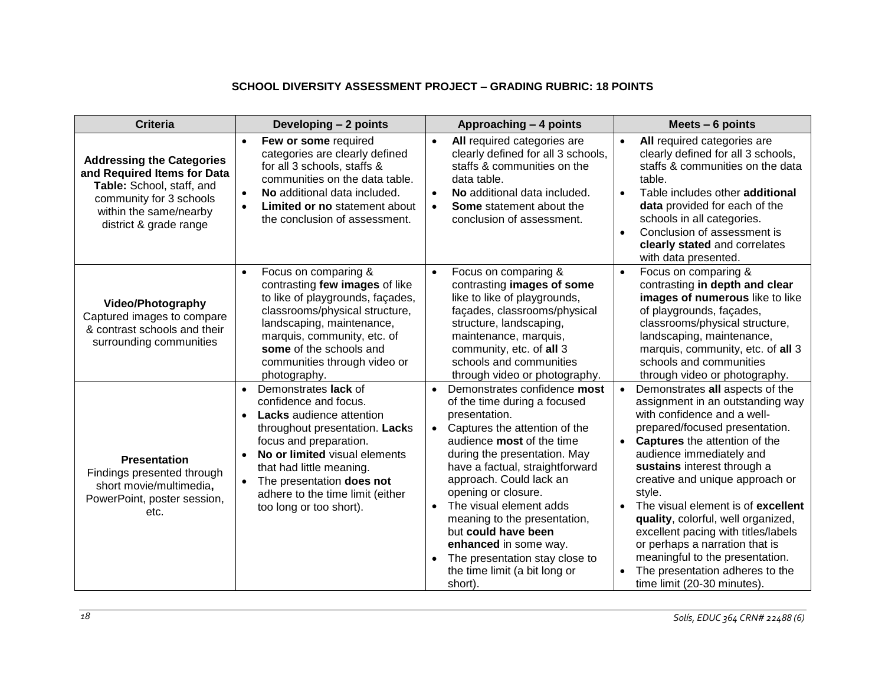# **SCHOOL DIVERSITY ASSESSMENT PROJECT – GRADING RUBRIC: 18 POINTS**

<span id="page-17-0"></span>

| <b>Criteria</b>                                                                                                                                                             | Developing - 2 points                                                                                                                                                                                                                                                                                                                 | Approaching - 4 points                                                                                                                                                                                                                                                                                                                                                                                                                                                                                               | Meets $-6$ points                                                                                                                                                                                                                                                                                                                                                                                                                                                                                                                                      |
|-----------------------------------------------------------------------------------------------------------------------------------------------------------------------------|---------------------------------------------------------------------------------------------------------------------------------------------------------------------------------------------------------------------------------------------------------------------------------------------------------------------------------------|----------------------------------------------------------------------------------------------------------------------------------------------------------------------------------------------------------------------------------------------------------------------------------------------------------------------------------------------------------------------------------------------------------------------------------------------------------------------------------------------------------------------|--------------------------------------------------------------------------------------------------------------------------------------------------------------------------------------------------------------------------------------------------------------------------------------------------------------------------------------------------------------------------------------------------------------------------------------------------------------------------------------------------------------------------------------------------------|
| <b>Addressing the Categories</b><br>and Required Items for Data<br>Table: School, staff, and<br>community for 3 schools<br>within the same/nearby<br>district & grade range | Few or some required<br>$\bullet$<br>categories are clearly defined<br>for all 3 schools, staffs &<br>communities on the data table.<br>No additional data included.<br>$\bullet$<br><b>Limited or no statement about</b><br>$\bullet$<br>the conclusion of assessment.                                                               | All required categories are<br>$\bullet$<br>clearly defined for all 3 schools,<br>staffs & communities on the<br>data table.<br>No additional data included.<br>$\bullet$<br>Some statement about the<br>$\bullet$<br>conclusion of assessment.                                                                                                                                                                                                                                                                      | All required categories are<br>$\bullet$<br>clearly defined for all 3 schools,<br>staffs & communities on the data<br>table.<br>Table includes other additional<br>$\bullet$<br>data provided for each of the<br>schools in all categories.<br>Conclusion of assessment is<br>$\bullet$<br>clearly stated and correlates<br>with data presented.                                                                                                                                                                                                       |
| <b>Video/Photography</b><br>Captured images to compare<br>& contrast schools and their<br>surrounding communities                                                           | Focus on comparing &<br>$\bullet$<br>contrasting few images of like<br>to like of playgrounds, façades,<br>classrooms/physical structure,<br>landscaping, maintenance,<br>marquis, community, etc. of<br>some of the schools and<br>communities through video or<br>photography.                                                      | $\bullet$<br>Focus on comparing &<br>contrasting images of some<br>like to like of playgrounds,<br>façades, classrooms/physical<br>structure, landscaping,<br>maintenance, marquis,<br>community, etc. of all 3<br>schools and communities<br>through video or photography.                                                                                                                                                                                                                                          | $\bullet$<br>Focus on comparing &<br>contrasting in depth and clear<br>images of numerous like to like<br>of playgrounds, façades,<br>classrooms/physical structure,<br>landscaping, maintenance,<br>marquis, community, etc. of all 3<br>schools and communities<br>through video or photography.                                                                                                                                                                                                                                                     |
| <b>Presentation</b><br>Findings presented through<br>short movie/multimedia,<br>PowerPoint, poster session,<br>etc.                                                         | Demonstrates lack of<br>$\bullet$<br>confidence and focus.<br>Lacks audience attention<br>$\bullet$<br>throughout presentation. Lacks<br>focus and preparation.<br>No or limited visual elements<br>that had little meaning.<br>The presentation does not<br>$\bullet$<br>adhere to the time limit (either<br>too long or too short). | Demonstrates confidence most<br>$\bullet$<br>of the time during a focused<br>presentation.<br>Captures the attention of the<br>$\bullet$<br>audience <b>most</b> of the time<br>during the presentation. May<br>have a factual, straightforward<br>approach. Could lack an<br>opening or closure.<br>The visual element adds<br>$\bullet$<br>meaning to the presentation,<br>but could have been<br>enhanced in some way.<br>The presentation stay close to<br>$\bullet$<br>the time limit (a bit long or<br>short). | Demonstrates all aspects of the<br>assignment in an outstanding way<br>with confidence and a well-<br>prepared/focused presentation.<br>• Captures the attention of the<br>audience immediately and<br>sustains interest through a<br>creative and unique approach or<br>style.<br>The visual element is of excellent<br>$\bullet$<br>quality, colorful, well organized,<br>excellent pacing with titles/labels<br>or perhaps a narration that is<br>meaningful to the presentation.<br>The presentation adheres to the<br>time limit (20-30 minutes). |